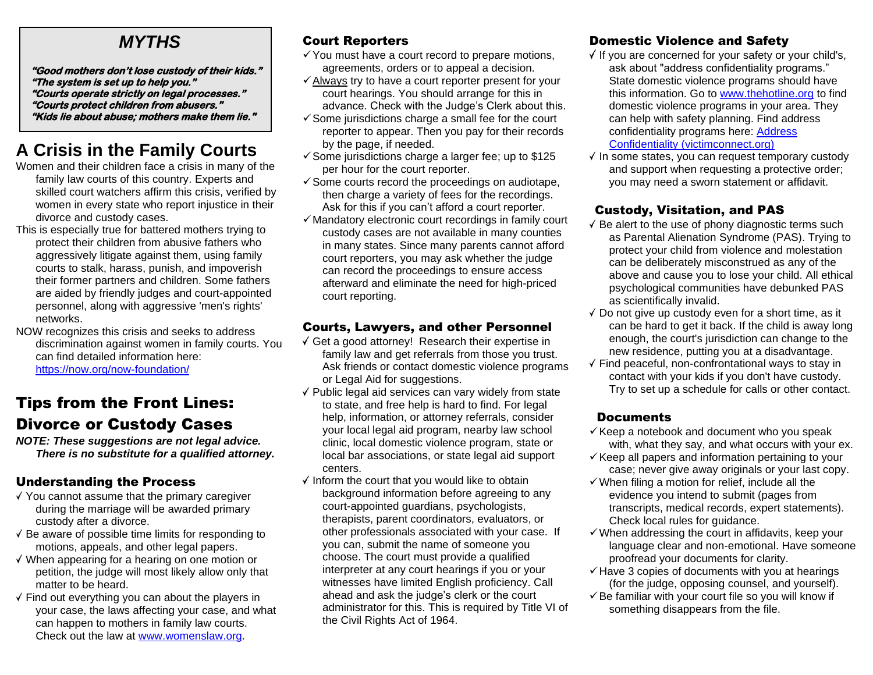# *MYTHS*

**"Good mothers don't lose custody of their kids." "The system is set up to help you." "Courts operate strictly on legal processes." "Courts protect children from abusers." "Kids lie about abuse; mothers make them lie."** 

# **A Crisis in the Family Courts**

- Women and their children face a crisis in many of the family law courts of this country. Experts and skilled court watchers affirm this crisis, verified by women in every state who report injustice in their divorce and custody cases.
- This is especially true for battered mothers trying to protect their children from abusive fathers who aggressively litigate against them, using family courts to stalk, harass, punish, and impoverish their former partners and children. Some fathers are aided by friendly judges and court-appointed personnel, along with aggressive 'men's rights' networks.
- NOW recognizes this crisis and seeks to address discrimination against women in family courts. You can find detailed information here: <https://now.org/now-foundation/>

# Tips from the Front Lines: Divorce or Custody Cases

*NOTE: These suggestions are not legal advice. There is no substitute for a qualified attorney.*

### Understanding the Process

- $\sqrt{ }$  You cannot assume that the primary caregiver during the marriage will be awarded primary custody after a divorce.
- $\sqrt{B}$  Be aware of possible time limits for responding to motions, appeals, and other legal papers.
- $\sqrt{ }$  When appearing for a hearing on one motion or petition, the judge will most likely allow only that matter to be heard.
- $\sqrt{ }$  Find out everything you can about the players in your case, the laws affecting your case, and what can happen to mothers in family law courts. Check out the law at [www.womenslaw.org.](http://www.womenslaw.org/)

# Court Reporters

- $\checkmark$  You must have a court record to prepare motions, agreements, orders or to appeal a decision.
- ✓Always try to have a court reporter present for your court hearings. You should arrange for this in advance. Check with the Judge's Clerk about this.
- $\checkmark$  Some jurisdictions charge a small fee for the court reporter to appear. Then you pay for their records by the page, if needed.
- $\checkmark$  Some jurisdictions charge a larger fee; up to \$125 per hour for the court reporter.
- $\checkmark$  Some courts record the proceedings on audiotape, then charge a variety of fees for the recordings. Ask for this if you can't afford a court reporter.
- $\checkmark$  Mandatory electronic court recordings in family court custody cases are not available in many counties in many states. Since many parents cannot afford court reporters, you may ask whether the judge can record the proceedings to ensure access afterward and eliminate the need for high-priced court reporting.

## Courts, Lawyers, and other Personnel

- Get a good attorney! Research their expertise in family law and get referrals from those you trust. Ask friends or contact domestic violence programs or Legal Aid for suggestions.
- $\sqrt{\ }$  Public legal aid services can vary widely from state to state, and free help is hard to find. For legal help, information, or attorney referrals, consider your local legal aid program, nearby law school clinic, local domestic violence program, state or local bar associations, or state legal aid support centers.
- $\checkmark$  Inform the court that you would like to obtain background information before agreeing to any court-appointed guardians, psychologists, therapists, parent coordinators, evaluators, or other professionals associated with your case. If you can, submit the name of someone you choose. The court must provide a qualified interpreter at any court hearings if you or your witnesses have limited English proficiency. Call ahead and ask the judge's clerk or the court administrator for this. This is required by Title VI of the Civil Rights Act of 1964.

# Domestic Violence and Safety

- $\sqrt{ }$  If you are concerned for your safety or your child's, ask about "address confidentiality programs." State domestic violence programs should have this information. Go to [www.thehotline.org](http://www.thehotline.org/) to find domestic violence programs in your area. They can help with safety planning. Find address confidentiality programs here: [Address](https://victimconnect.org/resources/address-confidentiality/)  [Confidentiality \(victimconnect.org\)](https://victimconnect.org/resources/address-confidentiality/)
- $\sqrt{}$  In some states, you can request temporary custody and support when requesting a protective order; you may need a sworn statement or affidavit.

## Custody, Visitation, and PAS

- $\sqrt{B}$  Be alert to the use of phony diagnostic terms such as Parental Alienation Syndrome (PAS). Trying to protect your child from violence and molestation can be deliberately misconstrued as any of the above and cause you to lose your child. All ethical psychological communities have debunked PAS as scientifically invalid.
- $\sqrt{}$  Do not give up custody even for a short time, as it can be hard to get it back. If the child is away long enough, the court's jurisdiction can change to the new residence, putting you at a disadvantage.
- $\sqrt{ }$  Find peaceful, non-confrontational ways to stay in contact with your kids if you don't have custody. Try to set up a schedule for calls or other contact.

# **Documents**

- $\checkmark$  Keep a notebook and document who you speak with, what they say, and what occurs with your ex.
- $\checkmark$  Keep all papers and information pertaining to your case; never give away originals or your last copy.
- $\checkmark$  When filing a motion for relief, include all the evidence you intend to submit (pages from transcripts, medical records, expert statements). Check local rules for guidance.
- $\checkmark$  When addressing the court in affidavits, keep your language clear and non-emotional. Have someone proofread your documents for clarity.
- $\checkmark$  Have 3 copies of documents with you at hearings (for the judge, opposing counsel, and yourself).
- $\checkmark$  Be familiar with your court file so you will know if something disappears from the file.